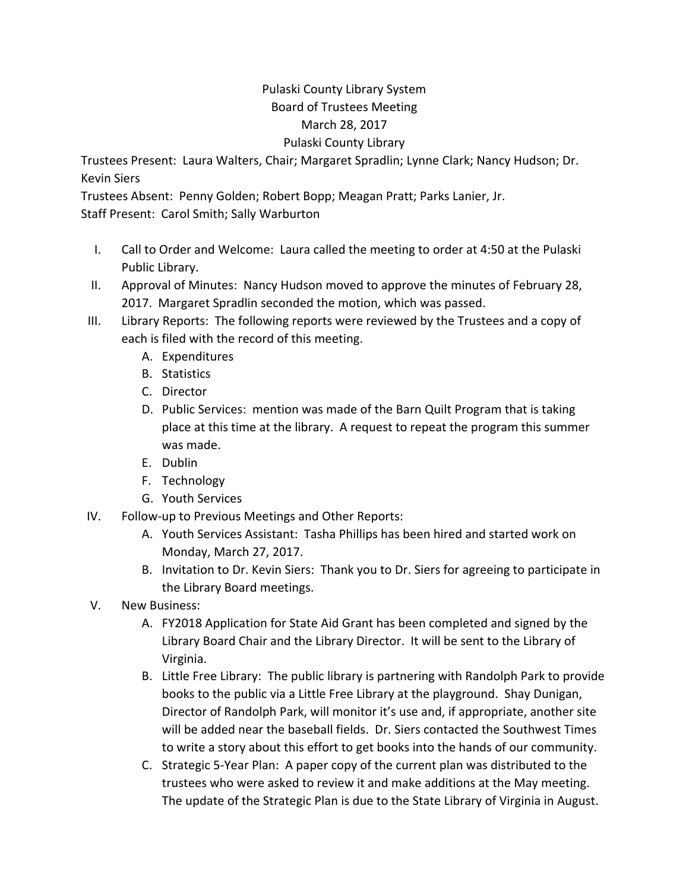## Pulaski County Library System Board of Trustees Meeting March 28, 2017 Pulaski County Library

Trustees Present: Laura Walters, Chair; Margaret Spradlin; Lynne Clark; Nancy Hudson; Dr. Kevin Siers

Trustees Absent: Penny Golden; Robert Bopp; Meagan Pratt; Parks Lanier, Jr.

Staff Present: Carol Smith; Sally Warburton

- I. Call to Order and Welcome: Laura called the meeting to order at 4:50 at the Pulaski Public Library.
- II. Approval of Minutes: Nancy Hudson moved to approve the minutes of February 28, 2017. Margaret Spradlin seconded the motion, which was passed.
- III. Library Reports: The following reports were reviewed by the Trustees and a copy of each is filed with the record of this meeting.
	- A. Expenditures
	- B. Statistics
	- C. Director
	- D. Public Services: mention was made of the Barn Quilt Program that is taking place at this time at the library. A request to repeat the program this summer was made.
	- E. Dublin
	- F. Technology
	- G. Youth Services
- IV. Follow‐up to Previous Meetings and Other Reports:
	- A. Youth Services Assistant: Tasha Phillips has been hired and started work on Monday, March 27, 2017.
	- B. Invitation to Dr. Kevin Siers: Thank you to Dr. Siers for agreeing to participate in the Library Board meetings.
- V. New Business:
	- A. FY2018 Application for State Aid Grant has been completed and signed by the Library Board Chair and the Library Director. It will be sent to the Library of Virginia.
	- B. Little Free Library: The public library is partnering with Randolph Park to provide books to the public via a Little Free Library at the playground. Shay Dunigan, Director of Randolph Park, will monitor it's use and, if appropriate, another site will be added near the baseball fields. Dr. Siers contacted the Southwest Times to write a story about this effort to get books into the hands of our community.
	- C. Strategic 5‐Year Plan: A paper copy of the current plan was distributed to the trustees who were asked to review it and make additions at the May meeting. The update of the Strategic Plan is due to the State Library of Virginia in August.